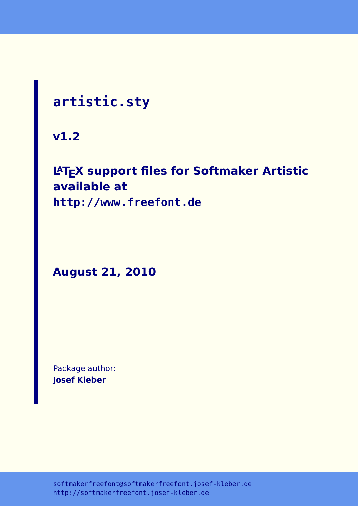# **artistic.sty**

**v1.2**

## **LATEX support files for Softmaker Artistic available at**

**<http://www.freefont.de>**

**August 21, 2010**

Package author: **Josef Kleber**

[softmakerfreefont@softmakerfreefont.josef-kleber.de](mailto:softmakerfreefont@softmakerfreefont.josef-kleber.de) <http://softmakerfreefont.josef-kleber.de>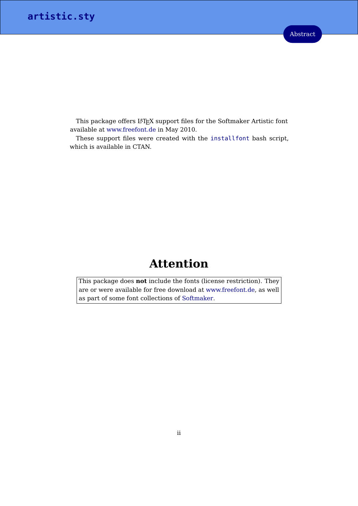This package offers L<sup>4</sup>T<sub>E</sub>X support files for the Softmaker Artistic font available at [www.freefont.de](http://www.freefont.de) in May 2010.

These support files were created with the [installfont](http://dante.ctan.org/tex-archive/help/Catalogue/entries/installfont.html) bash script, which is available in CTAN.

## **Attention**

This package does **not** include the fonts (license restriction). They are or were available for free download at [www.freefont.de,](http://www.freefont.de) as well as part of some font collections of [Softmaker.](http://www.softmaker.com/english/fonts_en.htm)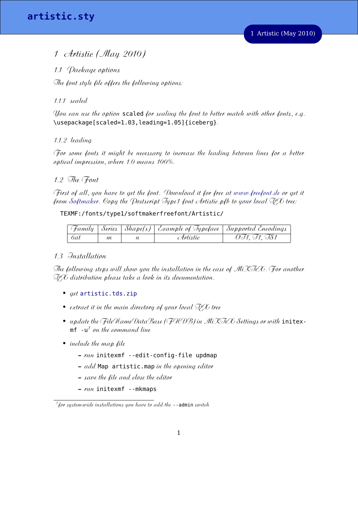### 1 Artistic (May 2010)

1.1 Package options

The font style file offers the following options:

#### 1.1.1 scaled

You can use the option scaled for scaling the font to better match with other fonts, e.g. \usepackage[scaled=1.03,leading=1.05]{iceberg}.

#### 1.1.2 leading

For some fonts it might be necessary to increase the leading between lines for a better optical impression, where 1.0 means 100%.

#### 1.2 The Font

First of all, you have to get the font. Download it for free at [www.freefont.de](http://www.freefont.de) or get it from [Softmaker.](http://www.softmaker.com/english/fonts_en.htm) Copy the Postseript Type1 font Artistic.pfb to your local TLX tree:

#### TEXMF:/fonts/type1/softmakerfreefont/Artistic/

|             |   | Family   Series   Shape(s)   Example of Typeface   Supported Encodings |              |
|-------------|---|------------------------------------------------------------------------|--------------|
| $\lnot$ 6at | m | Artistie                                                               | 0F1, F1, FS1 |

#### 1.3 Installation

The following steps will show you the installation in the case of  $MiX\Im\negthinspace e\mathcal{K}$ . For another TLX distribution please take a look in its documentation.

- *aet* [artistic.tds.zip](http://mirror.ctan.org/install/fonts/softmakerfreefont/artistic.tds.zip)
- extract it in the main directory of your local  $\Im {\cal F}$  tree
- update the FileNameDataBase (FNDB) in MiXTeX Settings or with initex- $\mathfrak{m} \mathsf{f}$  - $\mathsf{u}^\mathcal{I}$  on the command line
- *include the map lile* 
	- **–** run initexmf --edit-config-file updmap
	- **–** add Map artistic.map in the opening editor
	- **–** save the file and close the editor
	- **–** run initexmf --mkmaps

<span id="page-2-0"></span> $^{\prime}$  for system-wide installations you have to add the --admin switch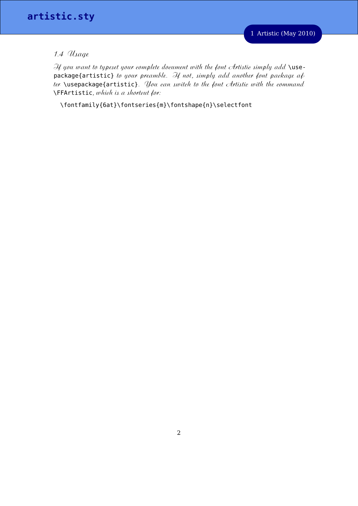#### 1.4 Usage

If you want to typeset your complete document with the font Artistic simply add \usepackage{artistic} to your preamble. If not, simply add another font package after **\usepackage{artistic}**. *You ean switch to the font Artistic with the command*  $\Gamma$ FFArtistic, which is a shortcut for:

\fontfamily{6at}\fontseries{m}\fontshape{n}\selectfont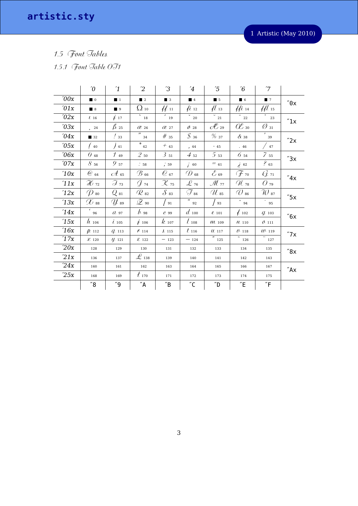artistic.sty

1 Artistic (May 2010)

1.5 Font Tables

1.5.1 Font Table OT1

|      | $\theta$           | $\mathbf{1}$       | $\overline{c}$               | $\mathfrak{B}$              | $\overline{4}$       | $\overline{5}$      | $6\overline{6}$                                 | $7^{\prime}$                                   |                      |
|------|--------------------|--------------------|------------------------------|-----------------------------|----------------------|---------------------|-------------------------------------------------|------------------------------------------------|----------------------|
| '00x | $\blacksquare$ 0   | $\blacksquare$ 1   | $\blacksquare$ 2             | $\blacksquare$ 3            | 4                    | $\blacksquare$ 5    | $\blacksquare$ 6                                | $\blacksquare$ 7                               | $^{\prime\prime}$ 0x |
| 01x  | 8                  | 9                  | $\Omega$ 10                  | #11                         | $\mu$ 12             | $\mu_{13}$          | $\#$ i 14                                       | $\mathcal{H}$ 15                               |                      |
| '02x | $\ell$ 16          | $\dot{t}$ 17       | $\frac{1}{2}$ 18             | $\frac{1}{2}$ 19            | $\checkmark$<br>20   | $\overline{C}$ 21   | 22                                              | $\circ$<br>23                                  | $^{\prime\prime}1x$  |
| '03x | 24                 | $\beta$ 25         | $\alpha$ 26                  | $\alpha$ 27                 | $\emptyset$ 28       | $\mathscr{H}$ 29    | $\mathscr{C}_{\scriptscriptstyle{\mathbf{30}}}$ | $\varnothing$ 31                               |                      |
| 04x  | ■ 32               | $\frac{7}{33}$     | 34                           | $#$ 35                      | $\mathcal{S}$ 36     | %37                 | $\alpha$ 38                                     | 39                                             | $^{\prime\prime}$ 2x |
| 05x  | 40                 | $/$ 41             | $\frac{1}{2}$ 42             | $\pm$ $_{43}$               | , 44                 | $-45$               | .46                                             | $\frac{1}{47}$                                 |                      |
| 06x  | $0\,$ 48           | 149                | 250                          | $3_{51}$                    | $4_{52}$             | $5_{53}$            | $6_{54}$                                        | 7 <sub>55</sub>                                | "3x                  |
| 07x  | $8\,$ 56           | $9\,$ 57           | $\therefore$ 58              | , 59                        | $\dot{j}$ 60         | $=$ 61              | $\dot{e}$ 62                                    | $\begin{smallmatrix} 2 & 63 \end{smallmatrix}$ |                      |
| 10x  | $\omega$ $_{64}$   | ${\mathscr A}$ 65  | $\mathcal{B}$ 66             | $\mathcal{O}$ 67            | $\mathcal{D}$ 68     | $\mathcal{E}$ 69    | (F 70                                           | G 71                                           | "4x                  |
| 11x  | $\mathcal{H}$ 72   | $\mathcal{J}_{73}$ | J 74                         | $\mathcal{X}$ 75            | $\mathscr{L}$ 76     | $\mathcal{M}$ 77    | N 78                                            | $O_{79}$                                       |                      |
| 12x  | $\mathcal{D}$ 80   | $Q_{81}$           | $\mathcal{R}$ 82             | $\mathcal{S}$ 83            | $\mathcal{J}_{\,84}$ | ${\mathscr U}$ 85   | $\oslash$ 86                                    | $\mathcal{W}$ 87                               | $^{\prime\prime}$ 5x |
| 13x  | ${\mathscr{X}}$ 88 | $\mathscr{U}$ 89   | $\mathscr{Q}$ 90             | $\frac{1}{91}$              | $\mu$<br>92          | $\frac{1}{93}$      | $\hat{ }$ 94                                    | $\cdot$ 95                                     |                      |
| 14x  | 96                 | $a_{97}$           | $\ell$ 98                    | C99                         | $d$ 100              | $\ell$ 101          | $\rlap{0.1\,}$ 102                              | $q$ 103                                        | "6x                  |
| 15x  | $h_{104}$          | $\dot{\iota}$ 105  | $\dot{t}$ 106                | $k_{107}$                   | $l_{108}$            | M109                | $\n  n$ 110                                     | 0.111                                          |                      |
| 16x  | $p_{112}$          | $Q$ 113            | $\mathcal{K}$ 114            | $\ell$ 115                  | $t_{116}$            | $u$ 117             | $0 - 118$                                       | $\mathcal{W}$ -119                             | $^{\prime\prime}$ 7x |
| 17x  | $\mathcal{X}$ 120  | $\n  u$ 121        | <b>Z</b> 122                 | $-123$                      | $-124$               | $\overline{r}$ 125  | $\overline{z}$ 126                              | 127                                            |                      |
| 20x  | 128                | 129                | 130                          | 131                         | 132                  | 133                 | 134                                             | 135                                            | $^{\prime\prime}8x$  |
| 21x  | 136                | 137                | $\mathscr{L}$ 138            | 139                         | 140                  | 141                 | 142                                             | 143                                            |                      |
| 24x  | 160                | 161                | 162                          | 163                         | 164                  | 165                 | 166                                             | 167                                            | $^{"}$ Ax            |
| 25x  | 168                | 169                | $t_{\scriptscriptstyle 170}$ | 171                         | 172                  | 173                 | 174                                             | 175                                            |                      |
|      | $^{\prime\prime}8$ | "9"                | $\sqrt{a}$                   | $\mathrm{^{\prime\prime}B}$ | $^{\prime\prime}$ C  | $^{\prime\prime}$ D | $^{\prime\prime}$ E                             | $\sqrt{F}$                                     |                      |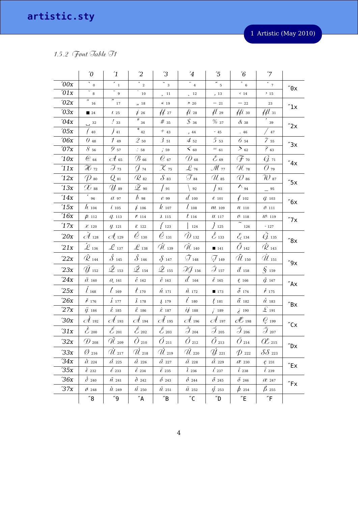## 1.5.2 Font Table T1

|                    | $\theta$                   | $\mathbf{1}$                                   | $\overline{c}$                                             | $\mathfrak{B}$                                    | $\overline{4}$                 | $\sqrt{5}$                    | $6\overline{6}$                            | $7^{\prime}$                 |                                     |
|--------------------|----------------------------|------------------------------------------------|------------------------------------------------------------|---------------------------------------------------|--------------------------------|-------------------------------|--------------------------------------------|------------------------------|-------------------------------------|
| '00x               | $\bar{N}$ 0                | $\frac{1}{\sqrt{2}}$                           | $\bar{a}$ 2                                                | $\overline{z}$ 3                                  | $\overline{\cdot}$ $_{4}$      | $\degree$ 5                   | $\overline{6}$                             | $\frac{1}{2}$                | $^{\prime\prime} \mathbf{0} \times$ |
| 01x                | $\overline{\phantom{a}}_8$ | $\overline{\phantom{a}}$ 9                     | 10                                                         | , 11                                              | $\frac{12}{2}$                 | , 13                          | $\langle 14$                               | 215                          |                                     |
| '02x               | $\overline{u}$<br>16       | "<br>17                                        | ,, 18                                                      | $\ll 19$                                          | 820                            | $-21$                         | $-$ 22 $\,$                                | 23                           | $^{\prime\prime}$ 1x                |
| '03x               | $\blacksquare$ 24          | $\iota$ 25                                     | 726                                                        | 4427                                              | $\mu$ 28                       | $\mu$ 29                      | $\#$ <i>i</i> 30                           | $\mathcal{H}$ 31             |                                     |
| 04x                | $\overline{)}$ 32          | $\frac{7}{33}$                                 | $\frac{1}{\pi}$ 34                                         | $#$ 35                                            | $\mathcal{S}$ 36               | %37                           | $\alpha$ 38                                | 39                           | "2x                                 |
| '05x               | 40                         | $\frac{1}{41}$                                 | $\overline{\ast}$ 42                                       | $\pm$ $_{43}$                                     | , 44                           | $-45$                         | .46                                        | $\frac{47}{3}$               |                                     |
| 06x                | $\theta$ 48                | 149                                            | $2_{50}$                                                   | $3_{51}$                                          | $4_{52}$                       | $5_{53}$                      | $6_{54}$                                   | 7 <sub>55</sub>              | "3x                                 |
| '07x               | 856                        | $\mathcal{G}$ 57                               | $\frac{1}{2}$ 58                                           | , 59                                              | $<$ $_{\rm 60}$                | $= 61$                        | $>$ 62                                     | $^{2}63$                     |                                     |
| 10x                | $\omega$ 64                | $\mathcal{A}$ 65                               | $\mathcal{B}$ 66                                           | $\mathcal{O}$ 67                                  | $\mathcal{D}$ 68               | $\mathcal{E}$ 69              | (F 70                                      | G 71                         | $^{\prime\prime}4x$                 |
| $^\prime11x$       | $\mathcal{H}$ 72           | $\mathcal{J}_{73}$                             | $\mathcal{G}$ 74                                           | $\mathcal{X}$ 75                                  | $\mathcal{L}$ 76               | M 77                          | $\mathscr{U}$ 78                           | $O_{79}$                     |                                     |
| 12x                | $\mathcal{D}$ 80           | $Q_{81}$                                       | $\mathcal{R}$ 82                                           | $\mathcal{S}$ 83                                  | $\mathcal{T}_{84}$             | $\mathcal{U}$ 85              | $\oslash$ 86                               | $\mathcal{W}$ 87             | $^{\prime\prime}5x$                 |
| 13x                | $\mathscr{X}$ 88           | Y 89                                           | $\mathscr{L}$ 90                                           | $\frac{1}{91}$                                    | 92                             | $\frac{1}{93}$                | $\sqrt{94}$                                | $-95$                        |                                     |
| 14x                | 96                         | a <sub>97</sub>                                | $\ell$ 98                                                  | $C$ 99                                            | $d_{100}$                      | $\ell$ 101                    | $\rlap{/}4$ 102                            | $q$ 103                      | $^{\prime\prime}$ 6x                |
| 15x                | $h_{104}$                  | $\dot{\iota}$ 105                              | $\dot{t}$ 106                                              | $k_{107}$                                         | $l_{108}$                      | M <sub>109</sub>              | $\nu$ 110                                  | 0.111                        |                                     |
| 16x                | $\rho$ 112                 | $q_{13}$                                       | $\mathcal{K}$ 114                                          | $\ell$ 115                                        | $t_{116}$                      | $\mu$ 117                     | $0 - 118$                                  | $\mathcal{W}$ 119            | $^{\prime\prime}$ 7 x               |
| 17x                | $\mathcal{X}$ 120          | $\psi$ 121                                     | $\mathcal{Z}$ 122                                          | 123                                               | 124                            | $\frac{1}{2}$ 125             | 126                                        | $^{\circ}$ 127               |                                     |
| 20x                | $\mathscr{A}_{128}$        | $\mathcal{A}_{\epsilon}$ 129                   | $\overline{O}$ 130                                         | $\mathcal{O}_{131}$                               | $\mathcal{D}_{132}$            | $\mathcal{L}_{133}$           | $\mathcal{E}_{\!\scriptscriptstyle (134)}$ | ${\cal G}$ 135               | "8x                                 |
| 21x                | $\mathcal{L}_{136}$        | $\mathcal{L}_{137}$                            | $\mathscr{L}$ 138                                          | $\mathscr{U}_\text{139}$                          | $\check{\mathscr{U}}$ 140      | ■ 141                         | $\tilde{O}_{142}$                          | $\overline{\mathcal{R}}$ 143 |                                     |
| $22x$              | $\dot{\mathcal{R}}$ 144    | $\acute{\delta}$ 145                           | $\check{\mathcal{S}}$ 146                                  | 8.147                                             | $\overline{\cal J}$ 148        | $\mathcal{J}_{149}$           | $\tilde{\mathcal{U}}$ 150                  | $\check{\mathcal{U}}$ 151    | $^{\prime\prime}9x$                 |
| 23x                | $\ddot{y}_{152}$           | $\dot{\mathscr{L}}$ 153                        | $\overline{\mathscr{L}}$ 154                               | $\mathscr{L}$ 155                                 | $\mathcal{AG}_{156}$           | $\mathcal{J}$ 157             | $d$ 158                                    | $\int \int 159$              |                                     |
| $24x$              | $\check{a}$ 160            | $\mathcal{O}_{\!\scriptscriptstyle \zeta}$ 161 | $\acute{e}$ 162                                            | $\check{e}$ 163                                   | $d_{164}$                      | $\check{\ell}$ 165            | $\ell$ 166                                 | $\check{q}$ 167              | $^{\prime\prime}$ Ax                |
| 25x                | $l_{168}$                  | $\ell$ 169                                     | $t_{170}$                                                  | $\acute{n}$ 171                                   | $\check{\mu}$ 172              | ■ 173                         | $\tilde{\mathcal{O}}$ 174                  | $k_{175}$                    |                                     |
| $^\prime\!26\rm x$ | $\check{\ell}$ 176         | $\rlap{-}\int_0^{\cdot}177$                    | $\check{\ell}$ 178                                         | \$179                                             | $t_{180}$                      | $t_{181}$                     | $\tilde{u}$ 182                            | $\mathring{u}$ 183           | $^{\prime\prime}$ Bx                |
| 27x                | $\ddot{\psi}$ 184          | $\acute{z}$ 185                                | $\check{z}$ 186                                            | $\dot{z}$ 187                                     | $i\dot{t}$ 188                 | /189                          | $\dot{e}$ 190                              | $\pounds$ 191                |                                     |
| 30x                | $\mathcal A$ 192           | $\mathscr{A}% _{k}(G)$ 193                     | $\mathscr{A}_{194}$                                        | $\mathscr{A}% _{4}^{\alpha\beta}(\mathbf{A})$ 195 | $\mathscr{A}_{196}$            | $\mathscr{A}% _{k}^{(1)}$ 197 | $\mathscr{H}_{^{198}}$                     | $Q_{199}$                    | $^{\prime\prime}$ Cx                |
| 31x                | $\mathcal{\hat{C}}$ 200    | $\mathscr{L}_{201}$                            | $\hat{\mathcal{L}}$ 202                                    | $\ddot{\mathcal{E}}$ 203                          | $\hat{a}$ 204                  | $\tilde{\mathcal{J}}_{205}$   | $\hat{\mathcal{J}}_{206}$                  | $\ddot{\mathcal{J}}$ 207     |                                     |
| 32x                | $\bigoplus$ 208            | $\mathscr{U}$ 209                              | $O_{210}$                                                  | $O_{211}$                                         | $O_{212}$                      | $O_{213}$                     | $O_{214}$                                  | $\alpha$ 215                 | $^{\prime\prime}$ Dx                |
| 33x                | $\varnothing$ 216          | $\mathcal{U}_{217}$                            | $\hat{\mathscr{U}}_{\mathfrak{z}\mathfrak{z}\mathfrak{z}}$ | $\hat{\mathscr{U}}$ 219                           | $\overline{\mathcal{U}}_{220}$ | $\dot{U}_1$ 221               | $\phi$ 222                                 | $\delta\delta$ 223           |                                     |
| 34x                | $\hat{a}$ 224              | $\acute{a}$ 225                                | $\hat{a}$ 226                                              | $\tilde{a}$ 227                                   | $\ddot{a}$ 228                 | $\mathring{a}$ 229            | $\ell\ell$ 230                             | $C_{231}$                    | "Ex                                 |
| 35x                | $\hat{e}$ 232              | $\ell$ 233                                     | $\hat{e}$ 234                                              | $\ddot{\ell}$ 235                                 | $\tilde{t}$ 236                | $\iota$ 237                   | $\hat{t}$ 238                              | $\ddot{\iota}$ 239           |                                     |
| 36x                | $\delta$ 240               | $\tilde{n}$ 241                                | $\delta$ 242                                               | $\delta$ -243                                     | $\hat{\theta}$ 244             | $\tilde{O}$ 245               | $\ddot{\theta}$ 246                        | $C2$ 247                     | $\sqrt{r}$ Fx                       |
| 37x                | 0.248                      | $\hat{u}$ 249                                  | $\mu$ 250                                                  | $\hat{u}$ 251                                     | $\ddot{u}$ 252                 | $\acute{\mu}$ 253             | $\phi$ 254                                 | $\beta$ 255                  |                                     |
|                    | 8"                         | "9"                                            | $^{\prime\prime}$ A                                        | $^{\prime\prime} \mathsf{B}$                      | $^{\prime\prime}$ C            | $^{\prime\prime}$ D           | $^{\prime\prime}$ E                        | $\mathsf{F}$                 |                                     |